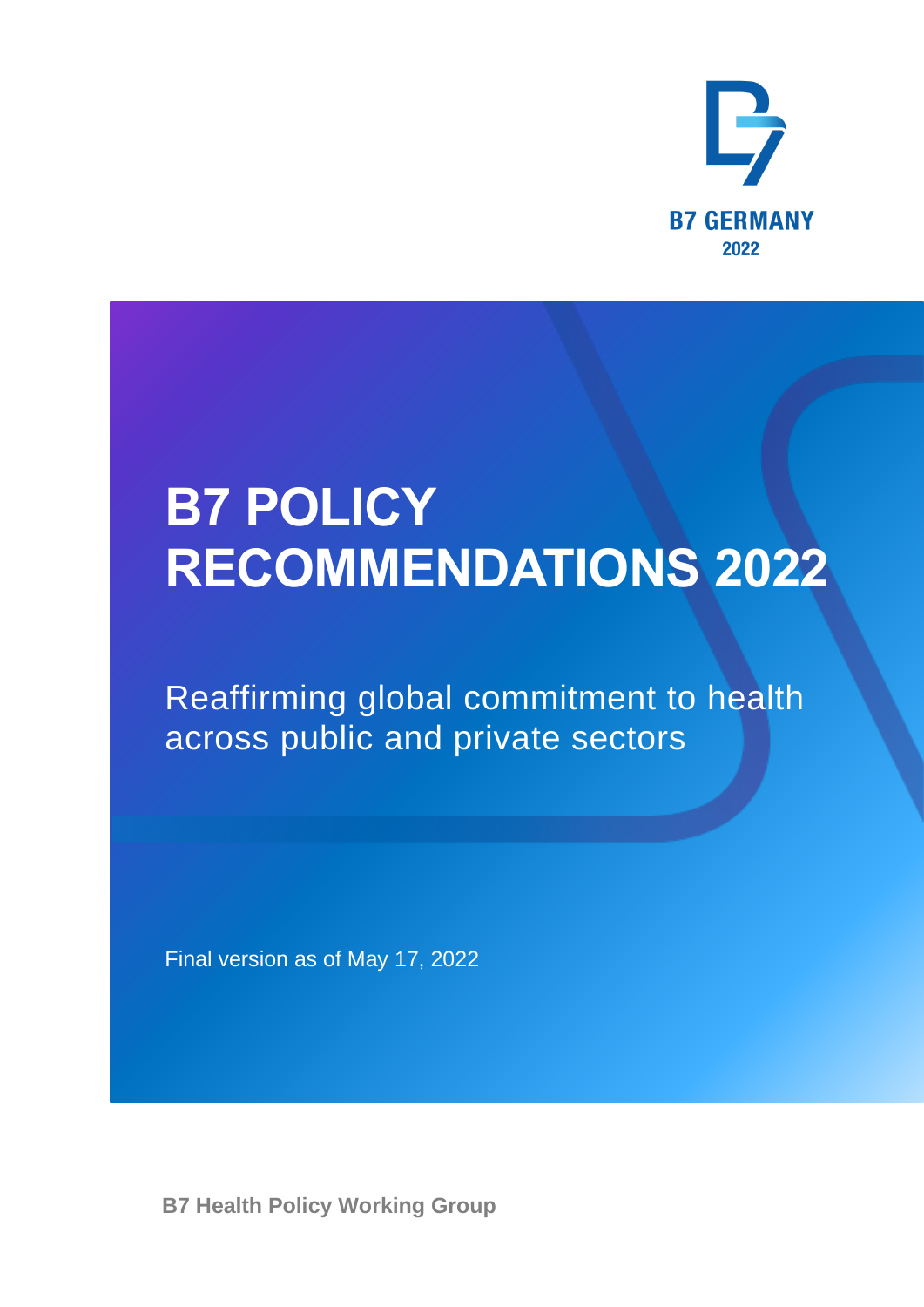

# **B7 POLICY RECOMMENDATIONS 2022**

Reaffirming global commitment to health across public and private sectors

Final version as of May 17, 2022

**B7 Health Policy Working Group**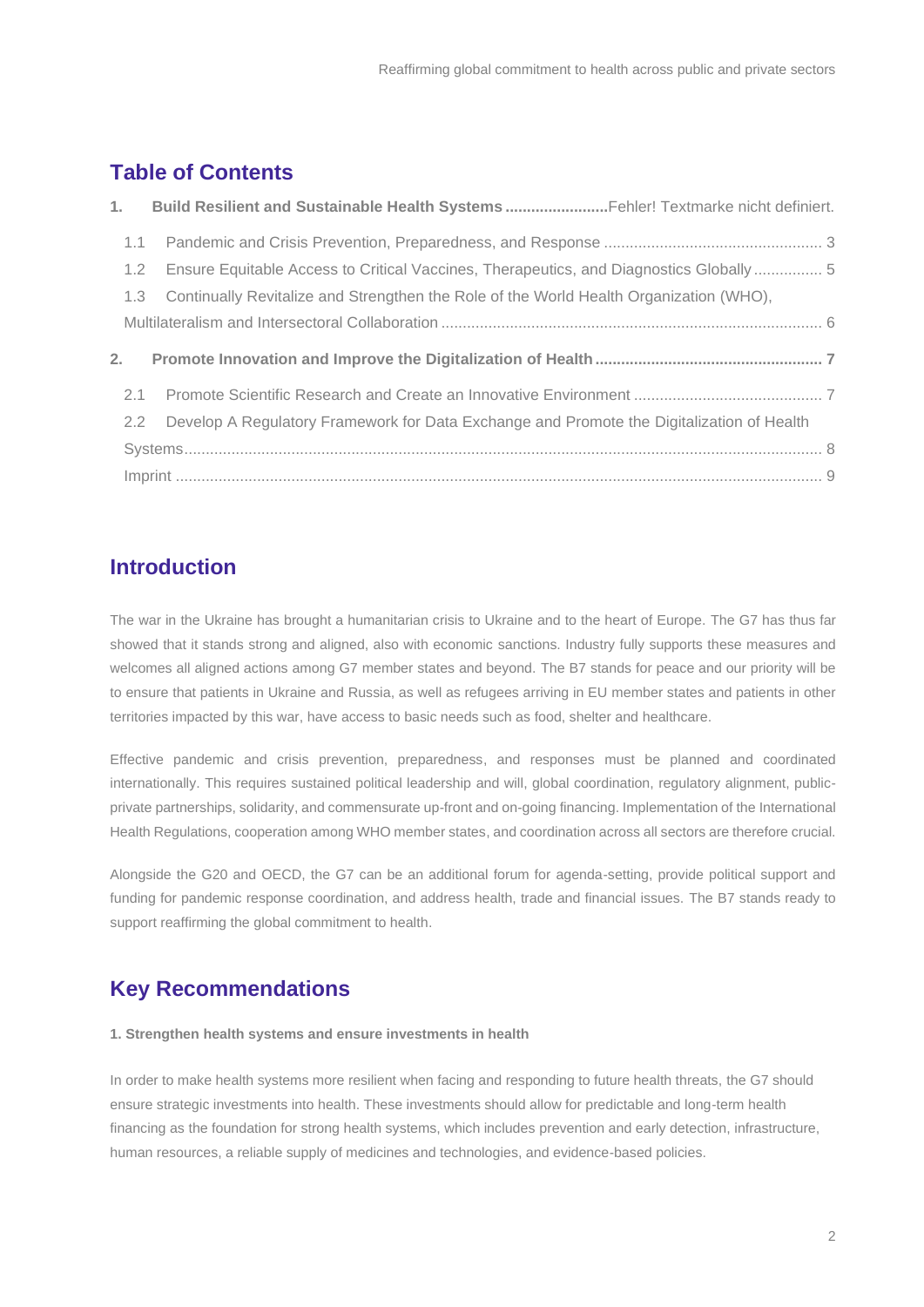### **Table of Contents**

|               | 1. Build Resilient and Sustainable Health Systems Fehler! Textmarke nicht definiert.      |
|---------------|-------------------------------------------------------------------------------------------|
| $1.1 -$       |                                                                                           |
| 1.2           | Ensure Equitable Access to Critical Vaccines, Therapeutics, and Diagnostics Globally 5    |
| 1.3           | Continually Revitalize and Strengthen the Role of the World Health Organization (WHO),    |
|               |                                                                                           |
| 2.            |                                                                                           |
| 2.1           |                                                                                           |
| $2.2^{\circ}$ | Develop A Regulatory Framework for Data Exchange and Promote the Digitalization of Health |
|               |                                                                                           |
|               |                                                                                           |

### **Introduction**

The war in the Ukraine has brought a humanitarian crisis to Ukraine and to the heart of Europe. The G7 has thus far showed that it stands strong and aligned, also with economic sanctions. Industry fully supports these measures and welcomes all aligned actions among G7 member states and beyond. The B7 stands for peace and our priority will be to ensure that patients in Ukraine and Russia, as well as refugees arriving in EU member states and patients in other territories impacted by this war, have access to basic needs such as food, shelter and healthcare.

Effective pandemic and crisis prevention, preparedness, and responses must be planned and coordinated internationally. This requires sustained political leadership and will, global coordination, regulatory alignment, publicprivate partnerships, solidarity, and commensurate up-front and on-going financing. Implementation of the International Health Regulations, cooperation among WHO member states, and coordination across all sectors are therefore crucial.

Alongside the G20 and OECD, the G7 can be an additional forum for agenda-setting, provide political support and funding for pandemic response coordination, and address health, trade and financial issues. The B7 stands ready to support reaffirming the global commitment to health.

## **Key Recommendations**

### **1. Strengthen health systems and ensure investments in health**

In order to make health systems more resilient when facing and responding to future health threats, the G7 should ensure strategic investments into health. These investments should allow for predictable and long-term health financing as the foundation for strong health systems, which includes prevention and early detection, infrastructure, human resources, a reliable supply of medicines and technologies, and evidence-based policies.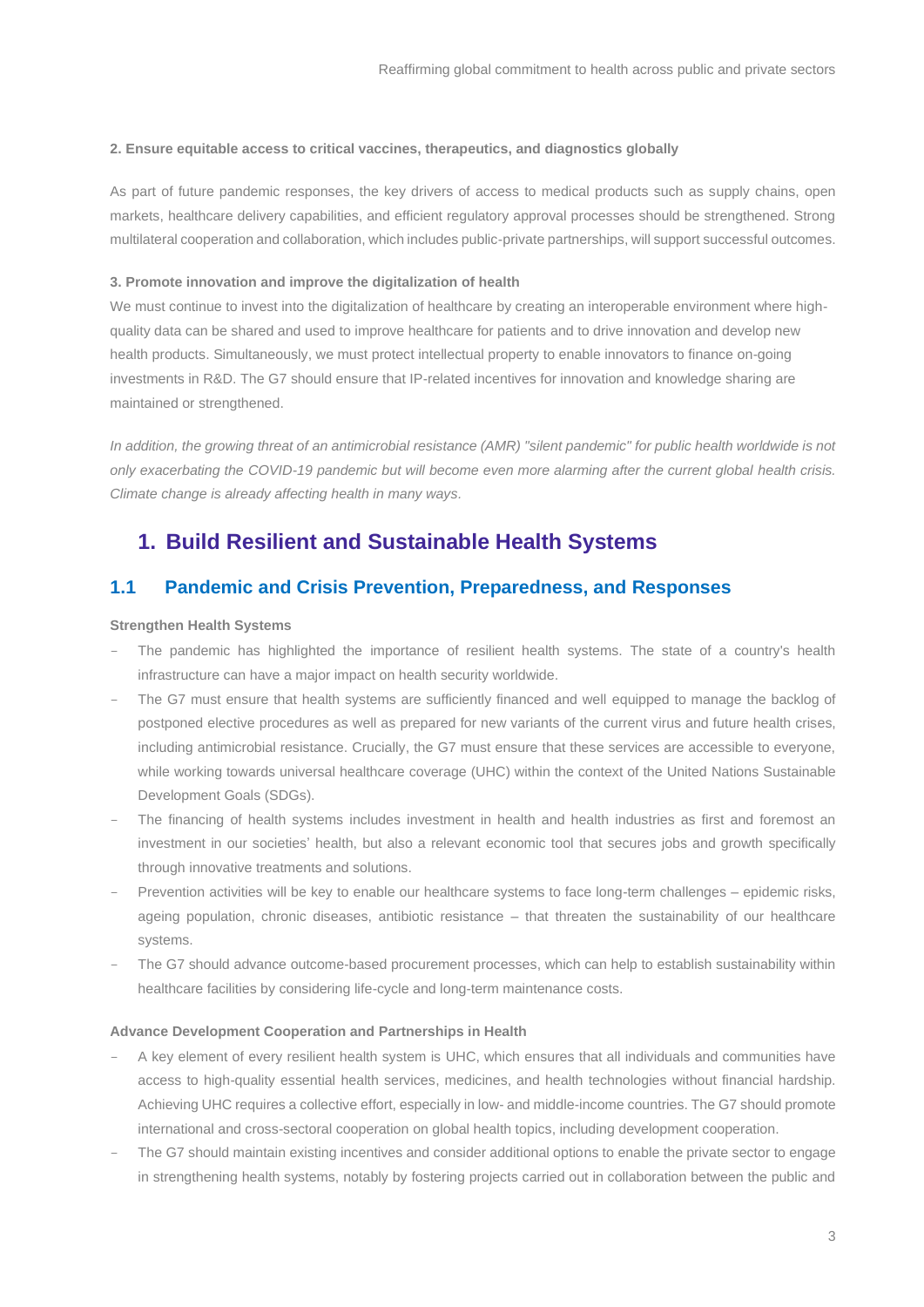#### **2. Ensure equitable access to critical vaccines, therapeutics, and diagnostics globally**

As part of future pandemic responses, the key drivers of access to medical products such as supply chains, open markets, healthcare delivery capabilities, and efficient regulatory approval processes should be strengthened. Strong multilateral cooperation and collaboration, which includes public-private partnerships, will support successful outcomes.

#### **3. Promote innovation and improve the digitalization of health**

We must continue to invest into the digitalization of healthcare by creating an interoperable environment where highquality data can be shared and used to improve healthcare for patients and to drive innovation and develop new health products. Simultaneously, we must protect intellectual property to enable innovators to finance on-going investments in R&D. The G7 should ensure that IP-related incentives for innovation and knowledge sharing are maintained or strengthened.

*In addition, the growing threat of an antimicrobial resistance (AMR) "silent pandemic" for public health worldwide is not only exacerbating the COVID-19 pandemic but will become even more alarming after the current global health crisis. Climate change is already affecting health in many ways.*

### **1. Build Resilient and Sustainable Health Systems**

### <span id="page-2-0"></span>**1.1 Pandemic and Crisis Prevention, Preparedness, and Responses**

#### **Strengthen Health Systems**

- The pandemic has highlighted the importance of resilient health systems. The state of a country's health infrastructure can have a major impact on health security worldwide.
- The G7 must ensure that health systems are sufficiently financed and well equipped to manage the backlog of postponed elective procedures as well as prepared for new variants of the current virus and future health crises, including antimicrobial resistance. Crucially, the G7 must ensure that these services are accessible to everyone, while working towards universal healthcare coverage (UHC) within the context of the United Nations Sustainable Development Goals (SDGs).
- The financing of health systems includes investment in health and health industries as first and foremost an investment in our societies' health, but also a relevant economic tool that secures jobs and growth specifically through innovative treatments and solutions.
- Prevention activities will be key to enable our healthcare systems to face long-term challenges epidemic risks, ageing population, chronic diseases, antibiotic resistance – that threaten the sustainability of our healthcare systems.
- The G7 should advance outcome-based procurement processes, which can help to establish sustainability within healthcare facilities by considering life-cycle and long-term maintenance costs.

### **Advance Development Cooperation and Partnerships in Health**

- A key element of every resilient health system is UHC, which ensures that all individuals and communities have access to high-quality essential health services, medicines, and health technologies without financial hardship. Achieving UHC requires a collective effort, especially in low- and middle-income countries. The G7 should promote international and cross-sectoral cooperation on global health topics, including development cooperation.
- The G7 should maintain existing incentives and consider additional options to enable the private sector to engage in strengthening health systems, notably by fostering projects carried out in collaboration between the public and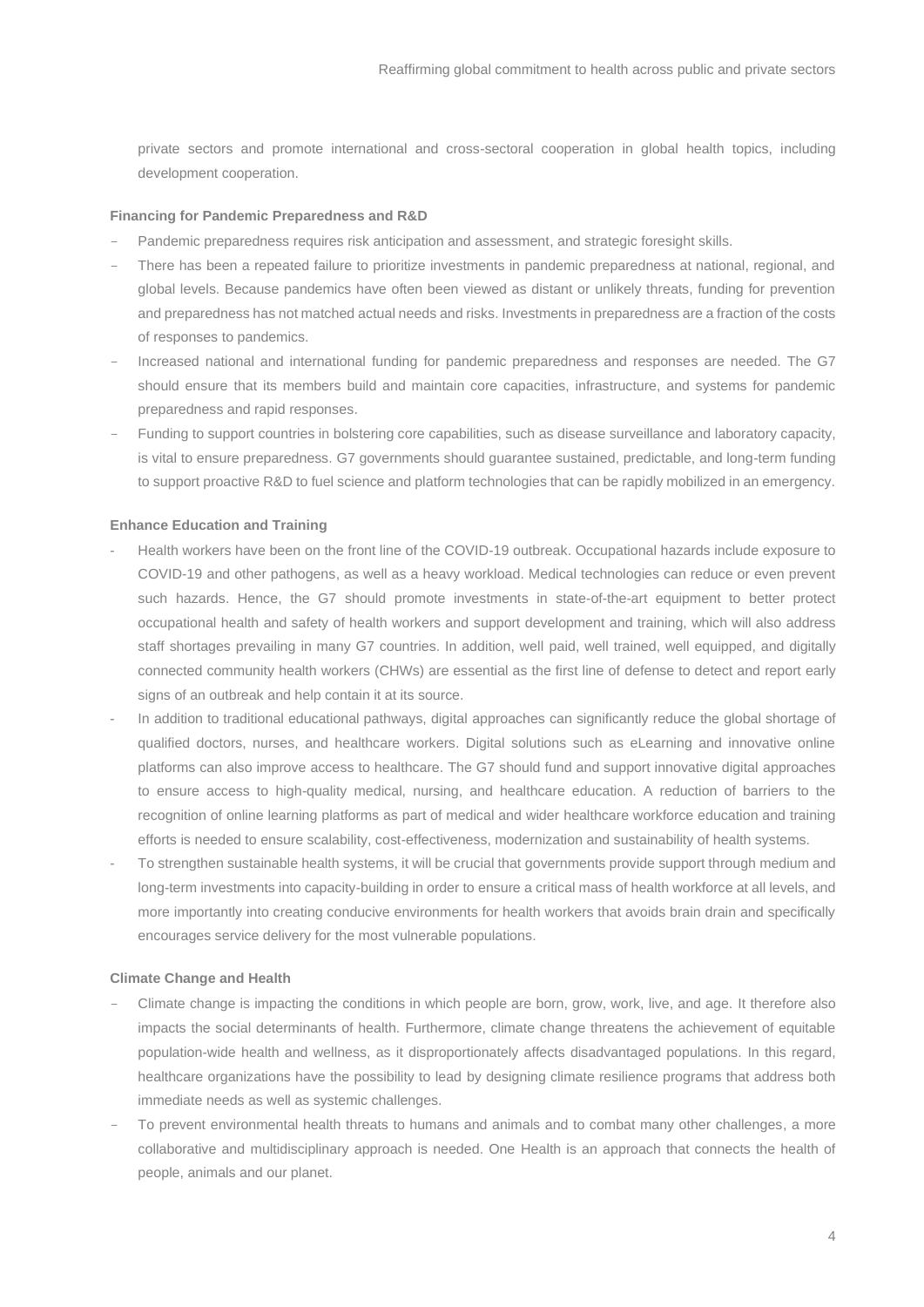private sectors and promote international and cross-sectoral cooperation in global health topics, including development cooperation.

### **Financing for Pandemic Preparedness and R&D**

- Pandemic preparedness requires risk anticipation and assessment, and strategic foresight skills.
- There has been a repeated failure to prioritize investments in pandemic preparedness at national, regional, and global levels. Because pandemics have often been viewed as distant or unlikely threats, funding for prevention and preparedness has not matched actual needs and risks. Investments in preparedness are a fraction of the costs of responses to pandemics.
- Increased national and international funding for pandemic preparedness and responses are needed. The G7 should ensure that its members build and maintain core capacities, infrastructure, and systems for pandemic preparedness and rapid responses.
- Funding to support countries in bolstering core capabilities, such as disease surveillance and laboratory capacity, is vital to ensure preparedness. G7 governments should guarantee sustained, predictable, and long-term funding to support proactive R&D to fuel science and platform technologies that can be rapidly mobilized in an emergency.

#### **Enhance Education and Training**

- Health workers have been on the front line of the COVID-19 outbreak. Occupational hazards include exposure to COVID-19 and other pathogens, as well as a heavy workload. Medical technologies can reduce or even prevent such hazards. Hence, the G7 should promote investments in state-of-the-art equipment to better protect occupational health and safety of health workers and support development and training, which will also address staff shortages prevailing in many G7 countries. In addition, well paid, well trained, well equipped, and digitally connected community health workers (CHWs) are essential as the first line of defense to detect and report early signs of an outbreak and help contain it at its source.
- In addition to traditional educational pathways, digital approaches can significantly reduce the global shortage of qualified doctors, nurses, and healthcare workers. Digital solutions such as eLearning and innovative online platforms can also improve access to healthcare. The G7 should fund and support innovative digital approaches to ensure access to high-quality medical, nursing, and healthcare education. A reduction of barriers to the recognition of online learning platforms as part of medical and wider healthcare workforce education and training efforts is needed to ensure scalability, cost-effectiveness, modernization and sustainability of health systems.
- To strengthen sustainable health systems, it will be crucial that governments provide support through medium and long-term investments into capacity-building in order to ensure a critical mass of health workforce at all levels, and more importantly into creating conducive environments for health workers that avoids brain drain and specifically encourages service delivery for the most vulnerable populations.

#### **Climate Change and Health**

- Climate change is impacting the conditions in which people are born, grow, work, live, and age. It therefore also impacts the social determinants of health. Furthermore, climate change threatens the achievement of equitable population-wide health and wellness, as it disproportionately affects disadvantaged populations. In this regard, healthcare organizations have the possibility to lead by designing climate resilience programs that address both immediate needs as well as systemic challenges.
- To prevent environmental health threats to humans and animals and to combat many other challenges, a more collaborative and multidisciplinary approach is needed. One Health is an approach that connects the health of people, animals and our planet.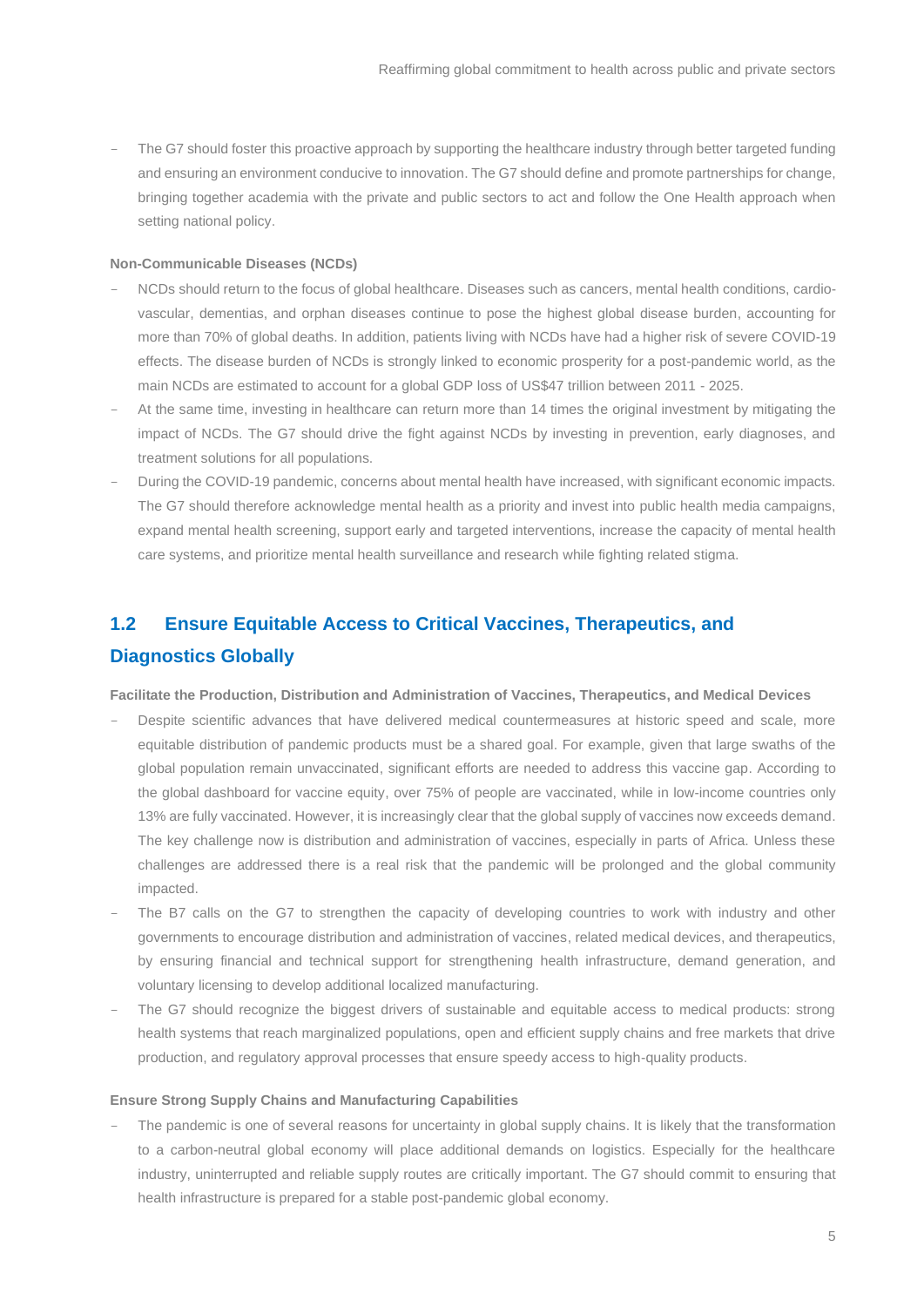The G7 should foster this proactive approach by supporting the healthcare industry through better targeted funding and ensuring an environment conducive to innovation. The G7 should define and promote partnerships for change, bringing together academia with the private and public sectors to act and follow the One Health approach when setting national policy.

#### **Non-Communicable Diseases (NCDs)**

- NCDs should return to the focus of global healthcare. Diseases such as cancers, mental health conditions, cardiovascular, dementias, and orphan diseases continue to pose the highest global disease burden, accounting for more than 70% of global deaths. In addition, patients living with NCDs have had a higher risk of severe COVID-19 effects. The disease burden of NCDs is strongly linked to economic prosperity for a post-pandemic world, as the main NCDs are estimated to account for a global GDP loss of US\$47 trillion between 2011 - 2025.
- At the same time, investing in healthcare can return more than 14 times the original investment by mitigating the impact of NCDs. The G7 should drive the fight against NCDs by investing in prevention, early diagnoses, and treatment solutions for all populations.
- During the COVID-19 pandemic, concerns about mental health have increased, with significant economic impacts. The G7 should therefore acknowledge mental health as a priority and invest into public health media campaigns, expand mental health screening, support early and targeted interventions, increase the capacity of mental health care systems, and prioritize mental health surveillance and research while fighting related stigma.

# <span id="page-4-0"></span>**1.2 Ensure Equitable Access to Critical Vaccines, Therapeutics, and Diagnostics Globally**

**Facilitate the Production, Distribution and Administration of Vaccines, Therapeutics, and Medical Devices**

- Despite scientific advances that have delivered medical countermeasures at historic speed and scale, more equitable distribution of pandemic products must be a shared goal. For example, given that large swaths of the global population remain unvaccinated, significant efforts are needed to address this vaccine gap. According to the global dashboard for vaccine equity, over 75% of people are vaccinated, while in low-income countries only 13% are fully vaccinated. However, it is increasingly clear that the global supply of vaccines now exceeds demand. The key challenge now is distribution and administration of vaccines, especially in parts of Africa. Unless these challenges are addressed there is a real risk that the pandemic will be prolonged and the global community impacted.
- The B7 calls on the G7 to strengthen the capacity of developing countries to work with industry and other governments to encourage distribution and administration of vaccines, related medical devices, and therapeutics, by ensuring financial and technical support for strengthening health infrastructure, demand generation, and voluntary licensing to develop additional localized manufacturing.
- The G7 should recognize the biggest drivers of sustainable and equitable access to medical products: strong health systems that reach marginalized populations, open and efficient supply chains and free markets that drive production, and regulatory approval processes that ensure speedy access to high-quality products.

### **Ensure Strong Supply Chains and Manufacturing Capabilities**

The pandemic is one of several reasons for uncertainty in global supply chains. It is likely that the transformation to a carbon-neutral global economy will place additional demands on logistics. Especially for the healthcare industry, uninterrupted and reliable supply routes are critically important. The G7 should commit to ensuring that health infrastructure is prepared for a stable post-pandemic global economy.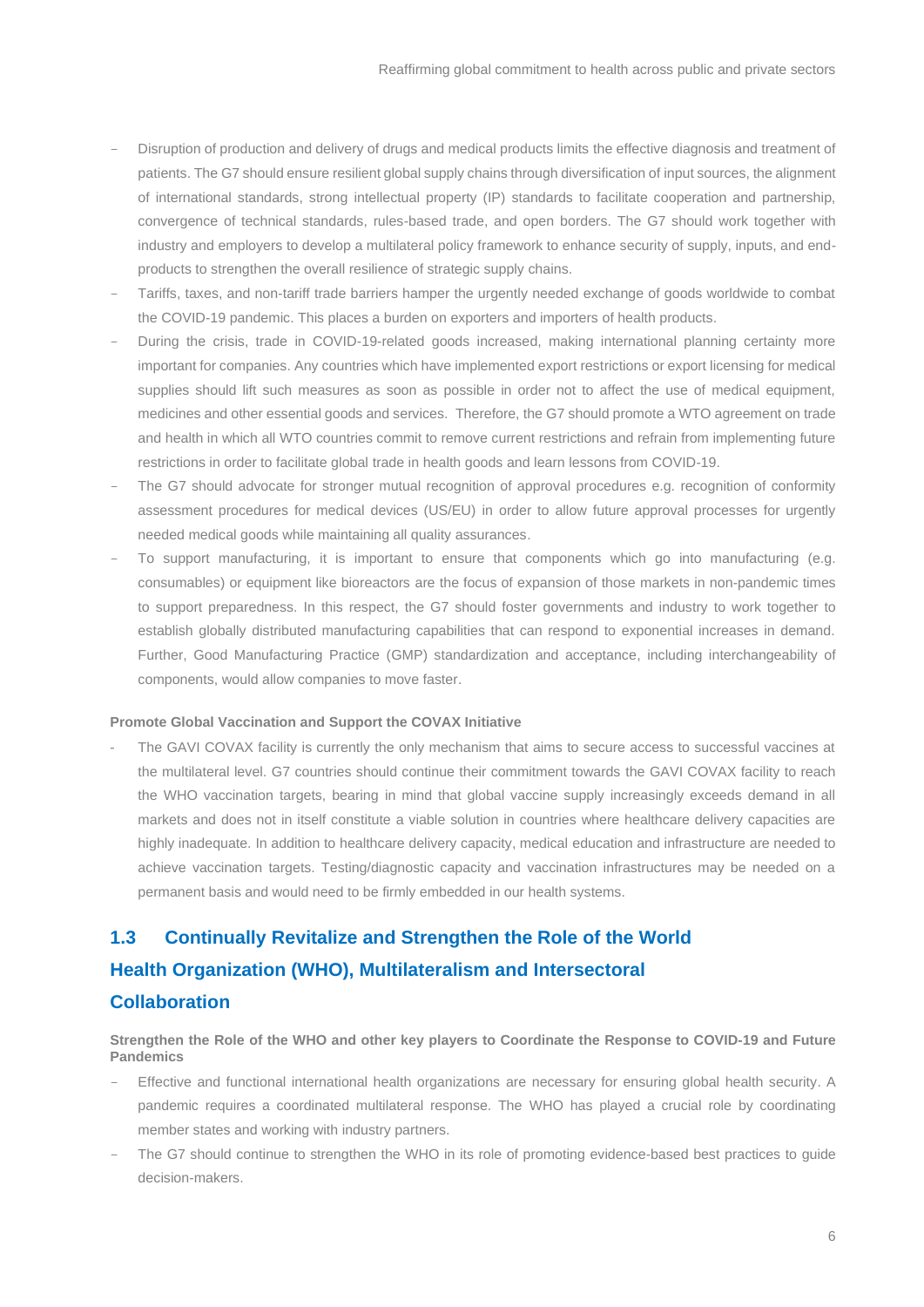- Disruption of production and delivery of drugs and medical products limits the effective diagnosis and treatment of patients. The G7 should ensure resilient global supply chains through diversification of input sources, the alignment of international standards, strong intellectual property (IP) standards to facilitate cooperation and partnership, convergence of technical standards, rules-based trade, and open borders. The G7 should work together with industry and employers to develop a multilateral policy framework to enhance security of supply, inputs, and endproducts to strengthen the overall resilience of strategic supply chains.
- Tariffs, taxes, and non-tariff trade barriers hamper the urgently needed exchange of goods worldwide to combat the COVID-19 pandemic. This places a burden on exporters and importers of health products.
- During the crisis, trade in COVID-19-related goods increased, making international planning certainty more important for companies. Any countries which have implemented export restrictions or export licensing for medical supplies should lift such measures as soon as possible in order not to affect the use of medical equipment, medicines and other essential goods and services. Therefore, the G7 should promote a WTO agreement on trade and health in which all WTO countries commit to remove current restrictions and refrain from implementing future restrictions in order to facilitate global trade in health goods and learn lessons from COVID-19.
- The G7 should advocate for stronger mutual recognition of approval procedures e.g. recognition of conformity assessment procedures for medical devices (US/EU) in order to allow future approval processes for urgently needed medical goods while maintaining all quality assurances.
- To support manufacturing, it is important to ensure that components which go into manufacturing (e.g. consumables) or equipment like bioreactors are the focus of expansion of those markets in non-pandemic times to support preparedness. In this respect, the G7 should foster governments and industry to work together to establish globally distributed manufacturing capabilities that can respond to exponential increases in demand. Further, Good Manufacturing Practice (GMP) standardization and acceptance, including interchangeability of components, would allow companies to move faster.

### **Promote Global Vaccination and Support the COVAX Initiative**

The GAVI COVAX facility is currently the only mechanism that aims to secure access to successful vaccines at the multilateral level. G7 countries should continue their commitment towards the GAVI COVAX facility to reach the WHO vaccination targets, bearing in mind that global vaccine supply increasingly exceeds demand in all markets and does not in itself constitute a viable solution in countries where healthcare delivery capacities are highly inadequate. In addition to healthcare delivery capacity, medical education and infrastructure are needed to achieve vaccination targets. Testing/diagnostic capacity and vaccination infrastructures may be needed on a permanent basis and would need to be firmly embedded in our health systems.

# <span id="page-5-0"></span>**1.3 Continually Revitalize and Strengthen the Role of the World Health Organization (WHO), Multilateralism and Intersectoral Collaboration**

### **Strengthen the Role of the WHO and other key players to Coordinate the Response to COVID-19 and Future Pandemics**

- Effective and functional international health organizations are necessary for ensuring global health security. A pandemic requires a coordinated multilateral response. The WHO has played a crucial role by coordinating member states and working with industry partners.
- The G7 should continue to strengthen the WHO in its role of promoting evidence-based best practices to guide decision-makers.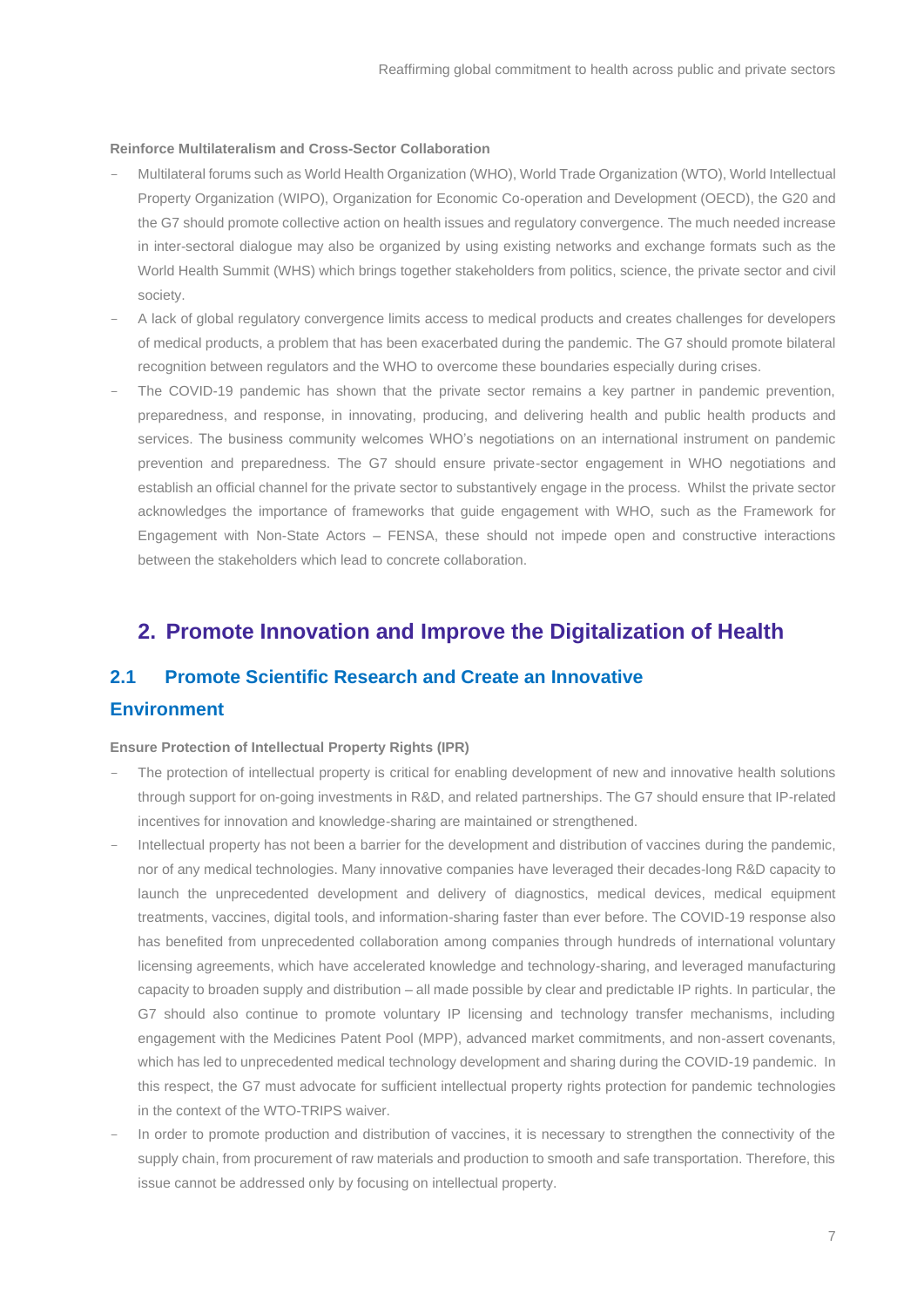### **Reinforce Multilateralism and Cross-Sector Collaboration**

- Multilateral forums such as World Health Organization (WHO), World Trade Organization (WTO), World Intellectual Property Organization (WIPO), Organization for Economic Co-operation and Development (OECD), the G20 and the G7 should promote collective action on health issues and regulatory convergence. The much needed increase in inter-sectoral dialogue may also be organized by using existing networks and exchange formats such as the World Health Summit (WHS) which brings together stakeholders from politics, science, the private sector and civil society.
- A lack of global regulatory convergence limits access to medical products and creates challenges for developers of medical products, a problem that has been exacerbated during the pandemic. The G7 should promote bilateral recognition between regulators and the WHO to overcome these boundaries especially during crises.
- The COVID-19 pandemic has shown that the private sector remains a key partner in pandemic prevention, preparedness, and response, in innovating, producing, and delivering health and public health products and services. The business community welcomes WHO's negotiations on an international instrument on pandemic prevention and preparedness. The G7 should ensure private-sector engagement in WHO negotiations and establish an official channel for the private sector to substantively engage in the process. Whilst the private sector acknowledges the importance of frameworks that guide engagement with WHO, such as the Framework for Engagement with Non-State Actors – FENSA, these should not impede open and constructive interactions between the stakeholders which lead to concrete collaboration.

### <span id="page-6-0"></span>**2. Promote Innovation and Improve the Digitalization of Health**

### <span id="page-6-1"></span>**2.1 Promote Scientific Research and Create an Innovative**

### **Environment**

#### **Ensure Protection of Intellectual Property Rights (IPR)**

- The protection of intellectual property is critical for enabling development of new and innovative health solutions through support for on-going investments in R&D, and related partnerships. The G7 should ensure that IP-related incentives for innovation and knowledge-sharing are maintained or strengthened.
- Intellectual property has not been a barrier for the development and distribution of vaccines during the pandemic, nor of any medical technologies. Many innovative companies have leveraged their decades-long R&D capacity to launch the unprecedented development and delivery of diagnostics, medical devices, medical equipment treatments, vaccines, digital tools, and information-sharing faster than ever before. The COVID-19 response also has benefited from unprecedented collaboration among companies through hundreds of international voluntary licensing agreements, which have accelerated knowledge and technology-sharing, and leveraged manufacturing capacity to broaden supply and distribution – all made possible by clear and predictable IP rights. In particular, the G7 should also continue to promote voluntary IP licensing and technology transfer mechanisms, including engagement with the Medicines Patent Pool (MPP), advanced market commitments, and non-assert covenants, which has led to unprecedented medical technology development and sharing during the COVID-19 pandemic. In this respect, the G7 must advocate for sufficient intellectual property rights protection for pandemic technologies in the context of the WTO-TRIPS waiver.
- In order to promote production and distribution of vaccines, it is necessary to strengthen the connectivity of the supply chain, from procurement of raw materials and production to smooth and safe transportation. Therefore, this issue cannot be addressed only by focusing on intellectual property.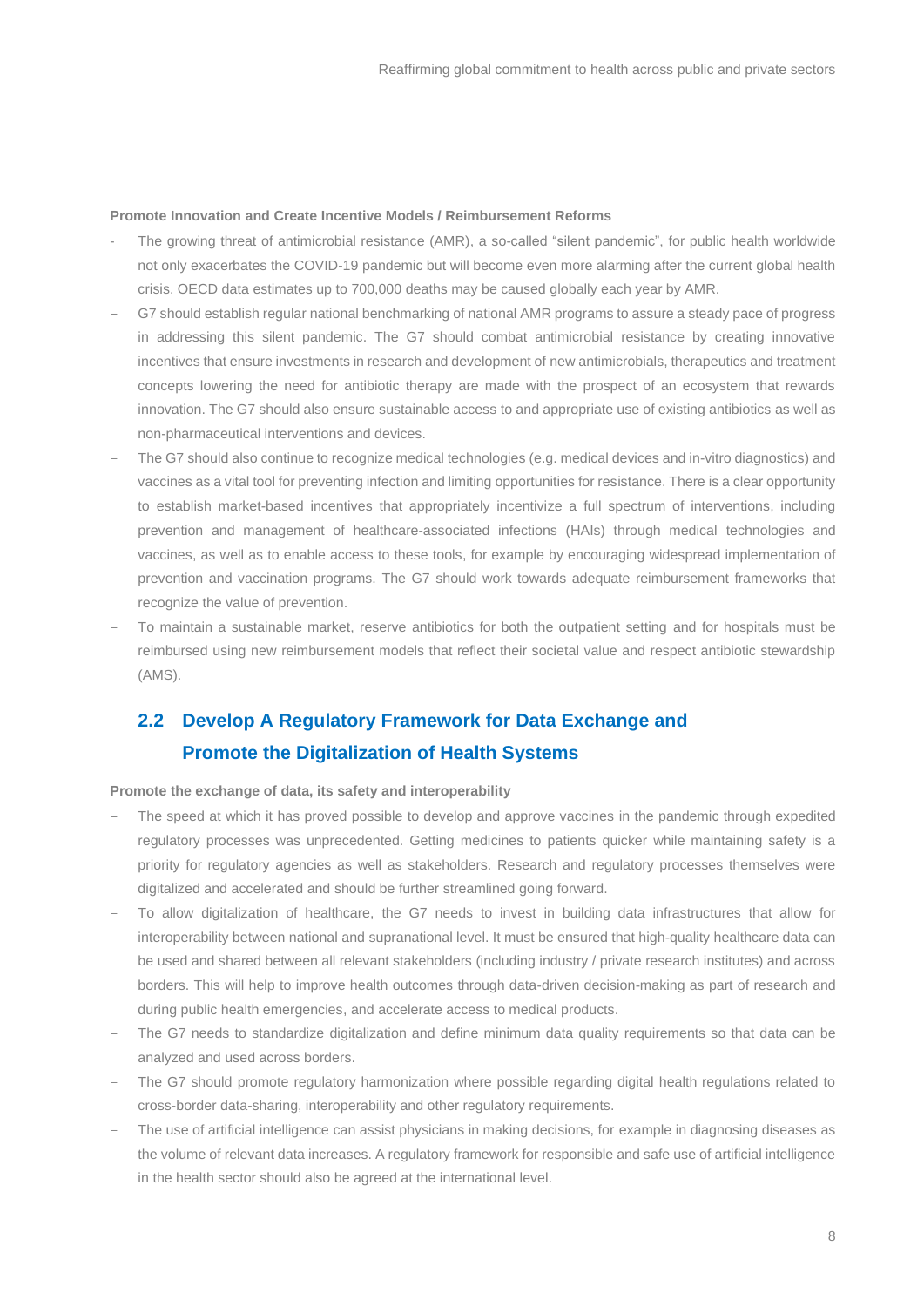### **Promote Innovation and Create Incentive Models / Reimbursement Reforms**

- The growing threat of antimicrobial resistance (AMR), a so-called "silent pandemic", for public health worldwide not only exacerbates the COVID-19 pandemic but will become even more alarming after the current global health crisis. OECD data estimates up to 700,000 deaths may be caused globally each year by AMR.
- G7 should establish regular national benchmarking of national AMR programs to assure a steady pace of progress in addressing this silent pandemic. The G7 should combat antimicrobial resistance by creating innovative incentives that ensure investments in research and development of new antimicrobials, therapeutics and treatment concepts lowering the need for antibiotic therapy are made with the prospect of an ecosystem that rewards innovation. The G7 should also ensure sustainable access to and appropriate use of existing antibiotics as well as non-pharmaceutical interventions and devices.
- The G7 should also continue to recognize medical technologies (e.g. medical devices and in-vitro diagnostics) and vaccines as a vital tool for preventing infection and limiting opportunities for resistance. There is a clear opportunity to establish market-based incentives that appropriately incentivize a full spectrum of interventions, including prevention and management of healthcare-associated infections (HAIs) through medical technologies and vaccines, as well as to enable access to these tools, for example by encouraging widespread implementation of prevention and vaccination programs. The G7 should work towards adequate reimbursement frameworks that recognize the value of prevention.
- To maintain a sustainable market, reserve antibiotics for both the outpatient setting and for hospitals must be reimbursed using new reimbursement models that reflect their societal value and respect antibiotic stewardship (AMS).

# <span id="page-7-0"></span>**2.2 Develop A Regulatory Framework for Data Exchange and Promote the Digitalization of Health Systems**

### **Promote the exchange of data, its safety and interoperability**

- The speed at which it has proved possible to develop and approve vaccines in the pandemic through expedited regulatory processes was unprecedented. Getting medicines to patients quicker while maintaining safety is a priority for regulatory agencies as well as stakeholders. Research and regulatory processes themselves were digitalized and accelerated and should be further streamlined going forward.
- To allow digitalization of healthcare, the G7 needs to invest in building data infrastructures that allow for interoperability between national and supranational level. It must be ensured that high-quality healthcare data can be used and shared between all relevant stakeholders (including industry / private research institutes) and across borders. This will help to improve health outcomes through data-driven decision-making as part of research and during public health emergencies, and accelerate access to medical products.
- The G7 needs to standardize digitalization and define minimum data quality requirements so that data can be analyzed and used across borders.
- The G7 should promote regulatory harmonization where possible regarding digital health regulations related to cross-border data-sharing, interoperability and other regulatory requirements.
- The use of artificial intelligence can assist physicians in making decisions, for example in diagnosing diseases as the volume of relevant data increases. A regulatory framework for responsible and safe use of artificial intelligence in the health sector should also be agreed at the international level.